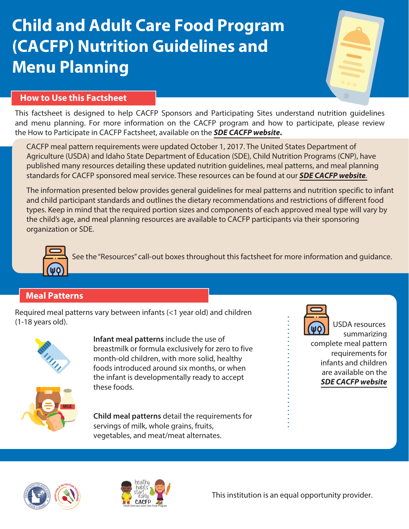# **Child and Adult Care Food Program (CACFP) Nutrition Guidelines and Menu Planning**



## **How to Use this Factsheet**

his factsheet is designed to help CACFP Sponsors and Participating Sites understand nutrition guidelines T and menu planning. For more information on the CACFP program and how to participate, please review the How to Participate in CACFP Factsheet, available on the **[SDE CACFP website](https://www.sde.idaho.gov/cnp/cacfp/).**

CACFP meal pattern requirements were updated October 1, 2017. The United States Department of Agriculture (USDA) and Idaho State Department of Education (SDE), Child Nutrition Programs (CNP), have published many resources detailing these updated nutrition guidelines, meal patterns, and meal planning standards for CACFP sponsored meal service. These resources can be found at our **[SDE CACFP website](https://www.sde.idaho.gov/cnp/cacfp/)**.

The information presented below provides general guidelines for meal patterns and nutrition specific to infant and child participant standards and outlines the dietary recommendations and restrictions of different food types. Keep in mind that the required portion sizes and components of each approved meal type will vary by the child's age, and meal planning resources are available to CACFP participants via their sponsoring organization or SDE.



See the "Resources" call-out boxes throughout this factsheet for more information and guidance.

# **Meal Patterns**

Required meal patterns vary between infants (<1 year old) and children (1-18 years old).



**Infant meal patterns** include the use of breastmilk or formula exclusively for zero to five month-old children, with more solid, healthy foods introduced around six months, or when the infant is developmentally ready to accept these foods.



**Child meal patterns** detail the requirements for servings of milk, whole grains, fruits, vegetables, and meat/meat alternates.



USDA resources summarizing complete meal pattern requirements for infants and children are available on the **[SDE CACFP website](https://www.sde.idaho.gov/cnp/cacfp/)**





This institution is an equal opportunity provider.